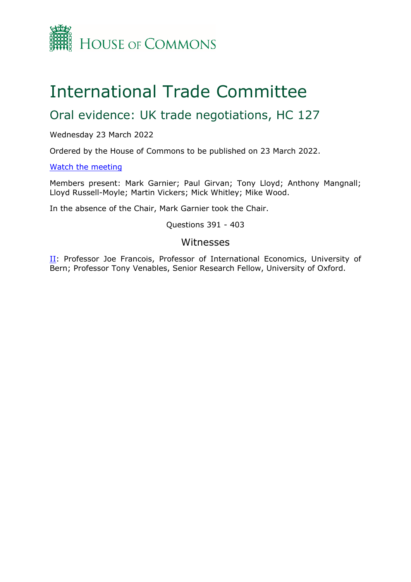

## International Trade Committee

## Oral evidence: UK trade negotiations, HC 127

Wednesday 23 March 2022

Ordered by the House of Commons to be published on 23 March 2022.

[Watch](https://www.parliamentlive.tv/Event/Index/c1763de8-67f7-4678-bd88-655b9076dc73) [the](https://www.parliamentlive.tv/Event/Index/c1763de8-67f7-4678-bd88-655b9076dc73) [meeting](https://www.parliamentlive.tv/Event/Index/c1763de8-67f7-4678-bd88-655b9076dc73)

Members present: Mark Garnier; Paul Girvan; Tony Lloyd; Anthony Mangnall; Lloyd Russell-Moyle; Martin Vickers; Mick Whitley; Mike Wood.

In the absence of the Chair, Mark Garnier took the Chair.

Questions 391 - 403

## Witnesses

[II](#page-1-0): Professor Joe Francois, Professor of International Economics, University of Bern; Professor Tony Venables, Senior Research Fellow, University of Oxford.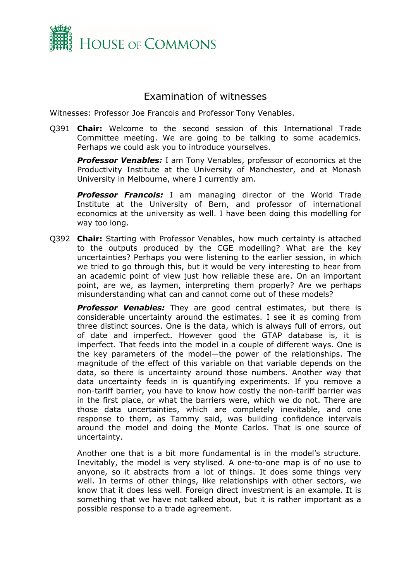

## <span id="page-1-0"></span>Examination of witnesses

Witnesses: Professor Joe Francois and Professor Tony Venables.

Q391 **Chair:** Welcome to the second session of this International Trade Committee meeting. We are going to be talking to some academics. Perhaps we could ask you to introduce yourselves.

*Professor Venables:* I am Tony Venables, professor of economics at the Productivity Institute at the University of Manchester, and at Monash University in Melbourne, where I currently am.

*Professor Francois:* I am managing director of the World Trade Institute at the University of Bern, and professor of international economics at the university as well. I have been doing this modelling for way too long.

Q392 **Chair:** Starting with Professor Venables, how much certainty is attached to the outputs produced by the CGE modelling? What are the key uncertainties? Perhaps you were listening to the earlier session, in which we tried to go through this, but it would be very interesting to hear from an academic point of view just how reliable these are. On an important point, are we, as laymen, interpreting them properly? Are we perhaps misunderstanding what can and cannot come out of these models?

**Professor Venables:** They are good central estimates, but there is considerable uncertainty around the estimates. I see it as coming from three distinct sources. One is the data, which is always full of errors, out of date and imperfect. However good the GTAP database is, it is imperfect. That feeds into the model in a couple of different ways. One is the key parameters of the model—the power of the relationships. The magnitude of the effect of this variable on that variable depends on the data, so there is uncertainty around those numbers. Another way that data uncertainty feeds in is quantifying experiments. If you remove a non-tariff barrier, you have to know how costly the non-tariff barrier was in the first place, or what the barriers were, which we do not. There are those data uncertainties, which are completely inevitable, and one response to them, as Tammy said, was building confidence intervals around the model and doing the Monte Carlos. That is one source of uncertainty.

Another one that is a bit more fundamental is in the model's structure. Inevitably, the model is very stylised. A one-to-one map is of no use to anyone, so it abstracts from a lot of things. It does some things very well. In terms of other things, like relationships with other sectors, we know that it does less well. Foreign direct investment is an example. It is something that we have not talked about, but it is rather important as a possible response to a trade agreement.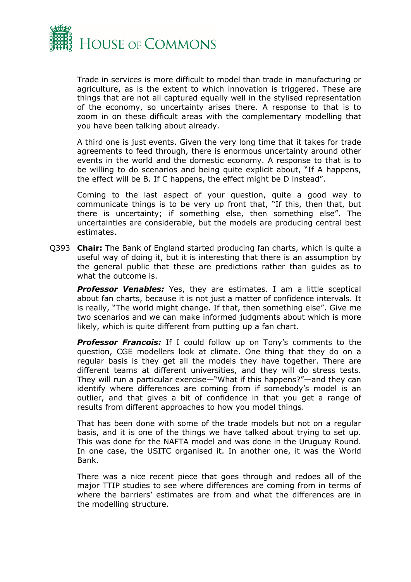

Trade in services is more difficult to model than trade in manufacturing or agriculture, as is the extent to which innovation is triggered. These are things that are not all captured equally well in the stylised representation of the economy, so uncertainty arises there. A response to that is to zoom in on these difficult areas with the complementary modelling that you have been talking about already.

A third one is just events. Given the very long time that it takes for trade agreements to feed through, there is enormous uncertainty around other events in the world and the domestic economy. A response to that is to be willing to do scenarios and being quite explicit about, "If A happens, the effect will be B. If C happens, the effect might be D instead".

Coming to the last aspect of your question, quite a good way to communicate things is to be very up front that, "If this, then that, but there is uncertainty; if something else, then something else". The uncertainties are considerable, but the models are producing central best estimates.

Q393 **Chair:** The Bank of England started producing fan charts, which is quite a useful way of doing it, but it is interesting that there is an assumption by the general public that these are predictions rather than guides as to what the outcome is.

**Professor Venables:** Yes, they are estimates. I am a little sceptical about fan charts, because it is not just a matter of confidence intervals. It is really, "The world might change. If that, then something else". Give me two scenarios and we can make informed judgments about which is more likely, which is quite different from putting up a fan chart.

**Professor Francois:** If I could follow up on Tony's comments to the question, CGE modellers look at climate. One thing that they do on a regular basis is they get all the models they have together. There are different teams at different universities, and they will do stress tests. They will run a particular exercise—"What if this happens?"—and they can identify where differences are coming from if somebody's model is an outlier, and that gives a bit of confidence in that you get a range of results from different approaches to how you model things.

That has been done with some of the trade models but not on a regular basis, and it is one of the things we have talked about trying to set up. This was done for the NAFTA model and was done in the Uruguay Round. In one case, the USITC organised it. In another one, it was the World Bank.

There was a nice recent piece that goes through and redoes all of the major TTIP studies to see where differences are coming from in terms of where the barriers' estimates are from and what the differences are in the modelling structure.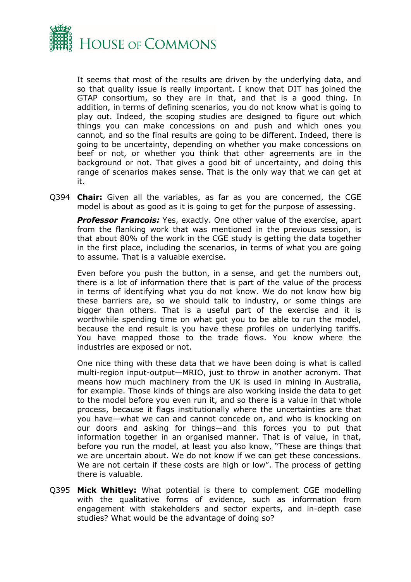

It seems that most of the results are driven by the underlying data, and so that quality issue is really important. I know that DIT has joined the GTAP consortium, so they are in that, and that is a good thing. In addition, in terms of defining scenarios, you do not know what is going to play out. Indeed, the scoping studies are designed to figure out which things you can make concessions on and push and which ones you cannot, and so the final results are going to be different. Indeed, there is going to be uncertainty, depending on whether you make concessions on beef or not, or whether you think that other agreements are in the background or not. That gives a good bit of uncertainty, and doing this range of scenarios makes sense. That is the only way that we can get at it.

Q394 **Chair:** Given all the variables, as far as you are concerned, the CGE model is about as good as it is going to get for the purpose of assessing.

*Professor Francois:* Yes, exactly. One other value of the exercise, apart from the flanking work that was mentioned in the previous session, is that about 80% of the work in the CGE study is getting the data together in the first place, including the scenarios, in terms of what you are going to assume. That is a valuable exercise.

Even before you push the button, in a sense, and get the numbers out, there is a lot of information there that is part of the value of the process in terms of identifying what you do not know. We do not know how big these barriers are, so we should talk to industry, or some things are bigger than others. That is a useful part of the exercise and it is worthwhile spending time on what got you to be able to run the model, because the end result is you have these profiles on underlying tariffs. You have mapped those to the trade flows. You know where the industries are exposed or not.

One nice thing with these data that we have been doing is what is called multi-region input-output—MRIO, just to throw in another acronym. That means how much machinery from the UK is used in mining in Australia, for example. Those kinds of things are also working inside the data to get to the model before you even run it, and so there is a value in that whole process, because it flags institutionally where the uncertainties are that you have—what we can and cannot concede on, and who is knocking on our doors and asking for things—and this forces you to put that information together in an organised manner. That is of value, in that, before you run the model, at least you also know, "These are things that we are uncertain about. We do not know if we can get these concessions. We are not certain if these costs are high or low". The process of getting there is valuable.

Q395 **Mick Whitley:** What potential is there to complement CGE modelling with the qualitative forms of evidence, such as information from engagement with stakeholders and sector experts, and in-depth case studies? What would be the advantage of doing so?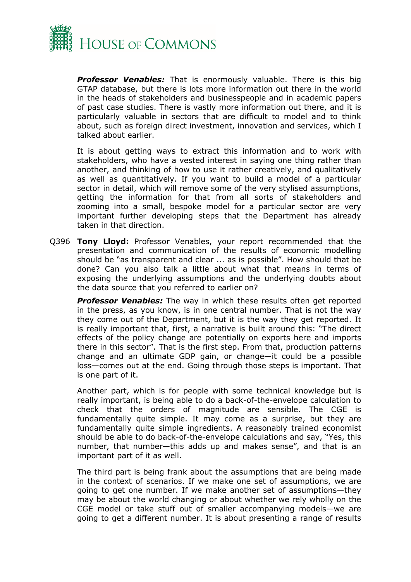

*Professor Venables:* That is enormously valuable. There is this big GTAP database, but there is lots more information out there in the world in the heads of stakeholders and businesspeople and in academic papers of past case studies. There is vastly more information out there, and it is particularly valuable in sectors that are difficult to model and to think about, such as foreign direct investment, innovation and services, which I talked about earlier.

It is about getting ways to extract this information and to work with stakeholders, who have a vested interest in saying one thing rather than another, and thinking of how to use it rather creatively, and qualitatively as well as quantitatively. If you want to build a model of a particular sector in detail, which will remove some of the very stylised assumptions, getting the information for that from all sorts of stakeholders and zooming into a small, bespoke model for a particular sector are very important further developing steps that the Department has already taken in that direction.

Q396 **Tony Lloyd:** Professor Venables, your report recommended that the presentation and communication of the results of economic modelling should be "as transparent and clear ... as is possible". How should that be done? Can you also talk a little about what that means in terms of exposing the underlying assumptions and the underlying doubts about the data source that you referred to earlier on?

*Professor Venables:* The way in which these results often get reported in the press, as you know, is in one central number. That is not the way they come out of the Department, but it is the way they get reported. It is really important that, first, a narrative is built around this: "The direct effects of the policy change are potentially on exports here and imports there in this sector". That is the first step. From that, production patterns change and an ultimate GDP gain, or change—it could be a possible loss—comes out at the end. Going through those steps is important. That is one part of it.

Another part, which is for people with some technical knowledge but is really important, is being able to do a back-of-the-envelope calculation to check that the orders of magnitude are sensible. The CGE is fundamentally quite simple. It may come as a surprise, but they are fundamentally quite simple ingredients. A reasonably trained economist should be able to do back-of-the-envelope calculations and say, "Yes, this number, that number—this adds up and makes sense", and that is an important part of it as well.

The third part is being frank about the assumptions that are being made in the context of scenarios. If we make one set of assumptions, we are going to get one number. If we make another set of assumptions—they may be about the world changing or about whether we rely wholly on the CGE model or take stuff out of smaller accompanying models—we are going to get a different number. It is about presenting a range of results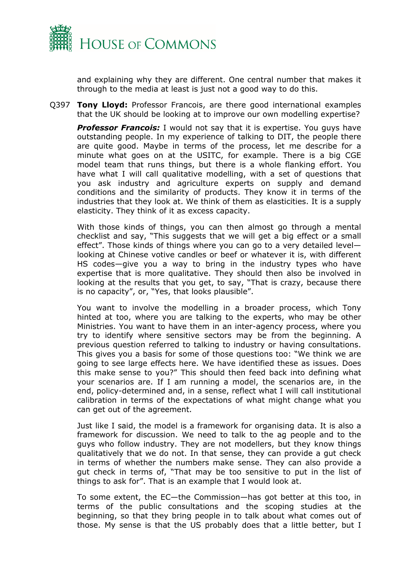

and explaining why they are different. One central number that makes it through to the media at least is just not a good way to do this.

Q397 **Tony Lloyd:** Professor Francois, are there good international examples that the UK should be looking at to improve our own modelling expertise?

*Professor Francois:* I would not say that it is expertise. You guys have outstanding people. In my experience of talking to DIT, the people there are quite good. Maybe in terms of the process, let me describe for a minute what goes on at the USITC, for example. There is a big CGE model team that runs things, but there is a whole flanking effort. You have what I will call qualitative modelling, with a set of questions that you ask industry and agriculture experts on supply and demand conditions and the similarity of products. They know it in terms of the industries that they look at. We think of them as elasticities. It is a supply elasticity. They think of it as excess capacity.

With those kinds of things, you can then almost go through a mental checklist and say, "This suggests that we will get a big effect or a small effect". Those kinds of things where you can go to a very detailed level looking at Chinese votive candles or beef or whatever it is, with different HS codes—give you a way to bring in the industry types who have expertise that is more qualitative. They should then also be involved in looking at the results that you get, to say, "That is crazy, because there is no capacity", or, "Yes, that looks plausible".

You want to involve the modelling in a broader process, which Tony hinted at too, where you are talking to the experts, who may be other Ministries. You want to have them in an inter-agency process, where you try to identify where sensitive sectors may be from the beginning. A previous question referred to talking to industry or having consultations. This gives you a basis for some of those questions too: "We think we are going to see large effects here. We have identified these as issues. Does this make sense to you?" This should then feed back into defining what your scenarios are. If I am running a model, the scenarios are, in the end, policy-determined and, in a sense, reflect what I will call institutional calibration in terms of the expectations of what might change what you can get out of the agreement.

Just like I said, the model is a framework for organising data. It is also a framework for discussion. We need to talk to the ag people and to the guys who follow industry. They are not modellers, but they know things qualitatively that we do not. In that sense, they can provide a gut check in terms of whether the numbers make sense. They can also provide a gut check in terms of, "That may be too sensitive to put in the list of things to ask for". That is an example that I would look at.

To some extent, the EC—the Commission—has got better at this too, in terms of the public consultations and the scoping studies at the beginning, so that they bring people in to talk about what comes out of those. My sense is that the US probably does that a little better, but I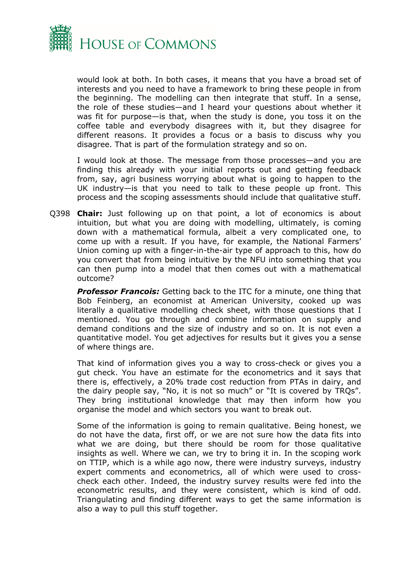

would look at both. In both cases, it means that you have a broad set of interests and you need to have a framework to bring these people in from the beginning. The modelling can then integrate that stuff. In a sense, the role of these studies—and I heard your questions about whether it was fit for purpose—is that, when the study is done, you toss it on the coffee table and everybody disagrees with it, but they disagree for different reasons. It provides a focus or a basis to discuss why you disagree. That is part of the formulation strategy and so on.

I would look at those. The message from those processes—and you are finding this already with your initial reports out and getting feedback from, say, agri business worrying about what is going to happen to the UK industry—is that you need to talk to these people up front. This process and the scoping assessments should include that qualitative stuff.

Q398 **Chair:** Just following up on that point, a lot of economics is about intuition, but what you are doing with modelling, ultimately, is coming down with a mathematical formula, albeit a very complicated one, to come up with a result. If you have, for example, the National Farmers' Union coming up with a finger-in-the-air type of approach to this, how do you convert that from being intuitive by the NFU into something that you can then pump into a model that then comes out with a mathematical outcome?

*Professor Francois:* Getting back to the ITC for a minute, one thing that Bob Feinberg, an economist at American University, cooked up was literally a qualitative modelling check sheet, with those questions that I mentioned. You go through and combine information on supply and demand conditions and the size of industry and so on. It is not even a quantitative model. You get adjectives for results but it gives you a sense of where things are.

That kind of information gives you a way to cross-check or gives you a gut check. You have an estimate for the econometrics and it says that there is, effectively, a 20% trade cost reduction from PTAs in dairy, and the dairy people say, "No, it is not so much" or "It is covered by TRQs". They bring institutional knowledge that may then inform how you organise the model and which sectors you want to break out.

Some of the information is going to remain qualitative. Being honest, we do not have the data, first off, or we are not sure how the data fits into what we are doing, but there should be room for those qualitative insights as well. Where we can, we try to bring it in. In the scoping work on TTIP, which is a while ago now, there were industry surveys, industry expert comments and econometrics, all of which were used to crosscheck each other. Indeed, the industry survey results were fed into the econometric results, and they were consistent, which is kind of odd. Triangulating and finding different ways to get the same information is also a way to pull this stuff together.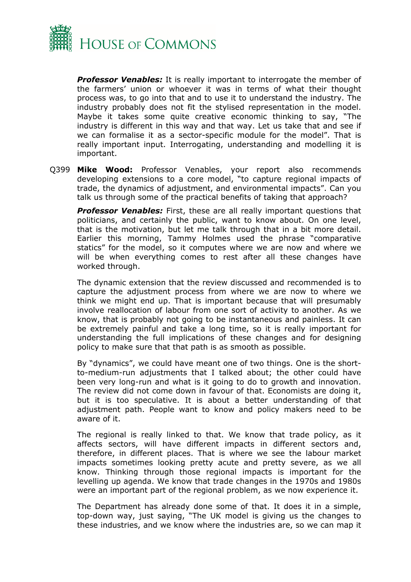

**Professor Venables:** It is really important to interrogate the member of the farmers' union or whoever it was in terms of what their thought process was, to go into that and to use it to understand the industry. The industry probably does not fit the stylised representation in the model. Maybe it takes some quite creative economic thinking to say, "The industry is different in this way and that way. Let us take that and see if we can formalise it as a sector-specific module for the model". That is really important input. Interrogating, understanding and modelling it is important.

Q399 **Mike Wood:** Professor Venables, your report also recommends developing extensions to a core model, "to capture regional impacts of trade, the dynamics of adjustment, and environmental impacts". Can you talk us through some of the practical benefits of taking that approach?

**Professor Venables:** First, these are all really important questions that politicians, and certainly the public, want to know about. On one level, that is the motivation, but let me talk through that in a bit more detail. Earlier this morning, Tammy Holmes used the phrase "comparative statics" for the model, so it computes where we are now and where we will be when everything comes to rest after all these changes have worked through.

The dynamic extension that the review discussed and recommended is to capture the adjustment process from where we are now to where we think we might end up. That is important because that will presumably involve reallocation of labour from one sort of activity to another. As we know, that is probably not going to be instantaneous and painless. It can be extremely painful and take a long time, so it is really important for understanding the full implications of these changes and for designing policy to make sure that that path is as smooth as possible.

By "dynamics", we could have meant one of two things. One is the shortto-medium-run adjustments that I talked about; the other could have been very long-run and what is it going to do to growth and innovation. The review did not come down in favour of that. Economists are doing it, but it is too speculative. It is about a better understanding of that adjustment path. People want to know and policy makers need to be aware of it.

The regional is really linked to that. We know that trade policy, as it affects sectors, will have different impacts in different sectors and, therefore, in different places. That is where we see the labour market impacts sometimes looking pretty acute and pretty severe, as we all know. Thinking through those regional impacts is important for the levelling up agenda. We know that trade changes in the 1970s and 1980s were an important part of the regional problem, as we now experience it.

The Department has already done some of that. It does it in a simple, top-down way, just saying, "The UK model is giving us the changes to these industries, and we know where the industries are, so we can map it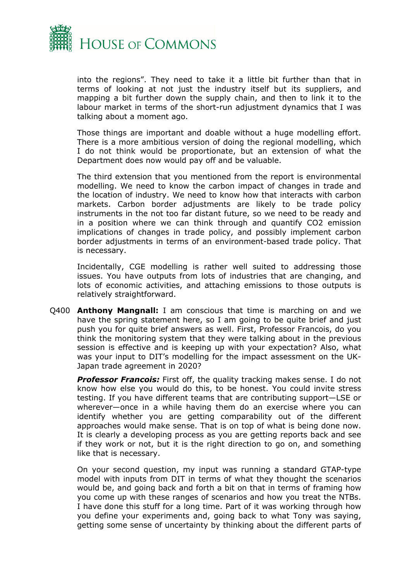

into the regions". They need to take it a little bit further than that in terms of looking at not just the industry itself but its suppliers, and mapping a bit further down the supply chain, and then to link it to the labour market in terms of the short-run adjustment dynamics that I was talking about a moment ago.

Those things are important and doable without a huge modelling effort. There is a more ambitious version of doing the regional modelling, which I do not think would be proportionate, but an extension of what the Department does now would pay off and be valuable.

The third extension that you mentioned from the report is environmental modelling. We need to know the carbon impact of changes in trade and the location of industry. We need to know how that interacts with carbon markets. Carbon border adjustments are likely to be trade policy instruments in the not too far distant future, so we need to be ready and in a position where we can think through and quantify CO2 emission implications of changes in trade policy, and possibly implement carbon border adjustments in terms of an environment-based trade policy. That is necessary.

Incidentally, CGE modelling is rather well suited to addressing those issues. You have outputs from lots of industries that are changing, and lots of economic activities, and attaching emissions to those outputs is relatively straightforward.

Q400 **Anthony Mangnall:** I am conscious that time is marching on and we have the spring statement here, so I am going to be quite brief and just push you for quite brief answers as well. First, Professor Francois, do you think the monitoring system that they were talking about in the previous session is effective and is keeping up with your expectation? Also, what was your input to DIT's modelling for the impact assessment on the UK-Japan trade agreement in 2020?

**Professor Francois:** First off, the quality tracking makes sense. I do not know how else you would do this, to be honest. You could invite stress testing. If you have different teams that are contributing support—LSE or wherever—once in a while having them do an exercise where you can identify whether you are getting comparability out of the different approaches would make sense. That is on top of what is being done now. It is clearly a developing process as you are getting reports back and see if they work or not, but it is the right direction to go on, and something like that is necessary.

On your second question, my input was running a standard GTAP-type model with inputs from DIT in terms of what they thought the scenarios would be, and going back and forth a bit on that in terms of framing how you come up with these ranges of scenarios and how you treat the NTBs. I have done this stuff for a long time. Part of it was working through how you define your experiments and, going back to what Tony was saying, getting some sense of uncertainty by thinking about the different parts of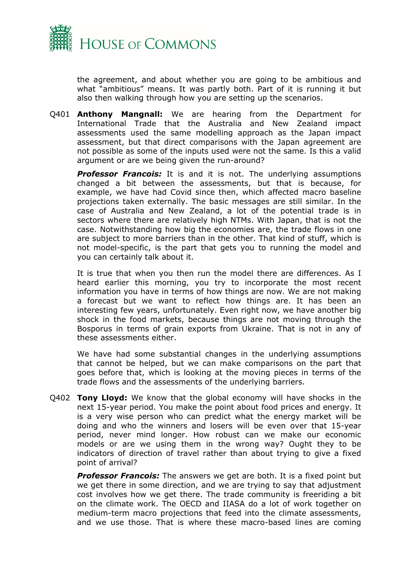

the agreement, and about whether you are going to be ambitious and what "ambitious" means. It was partly both. Part of it is running it but also then walking through how you are setting up the scenarios.

Q401 **Anthony Mangnall:** We are hearing from the Department for International Trade that the Australia and New Zealand impact assessments used the same modelling approach as the Japan impact assessment, but that direct comparisons with the Japan agreement are not possible as some of the inputs used were not the same. Is this a valid argument or are we being given the run-around?

**Professor Francois:** It is and it is not. The underlying assumptions changed a bit between the assessments, but that is because, for example, we have had Covid since then, which affected macro baseline projections taken externally. The basic messages are still similar. In the case of Australia and New Zealand, a lot of the potential trade is in sectors where there are relatively high NTMs. With Japan, that is not the case. Notwithstanding how big the economies are, the trade flows in one are subject to more barriers than in the other. That kind of stuff, which is not model-specific, is the part that gets you to running the model and you can certainly talk about it.

It is true that when you then run the model there are differences. As I heard earlier this morning, you try to incorporate the most recent information you have in terms of how things are now. We are not making a forecast but we want to reflect how things are. It has been an interesting few years, unfortunately. Even right now, we have another big shock in the food markets, because things are not moving through the Bosporus in terms of grain exports from Ukraine. That is not in any of these assessments either.

We have had some substantial changes in the underlying assumptions that cannot be helped, but we can make comparisons on the part that goes before that, which is looking at the moving pieces in terms of the trade flows and the assessments of the underlying barriers.

Q402 **Tony Lloyd:** We know that the global economy will have shocks in the next 15-year period. You make the point about food prices and energy. It is a very wise person who can predict what the energy market will be doing and who the winners and losers will be even over that 15-year period, never mind longer. How robust can we make our economic models or are we using them in the wrong way? Ought they to be indicators of direction of travel rather than about trying to give a fixed point of arrival?

*Professor Francois:* The answers we get are both. It is a fixed point but we get there in some direction, and we are trying to say that adjustment cost involves how we get there. The trade community is freeriding a bit on the climate work. The OECD and IIASA do a lot of work together on medium-term macro projections that feed into the climate assessments, and we use those. That is where these macro-based lines are coming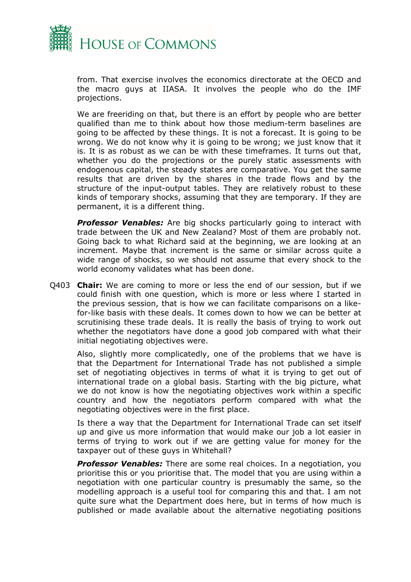

from. That exercise involves the economics directorate at the OECD and the macro guys at IIASA. It involves the people who do the IMF projections.

We are freeriding on that, but there is an effort by people who are better qualified than me to think about how those medium-term baselines are going to be affected by these things. It is not a forecast. It is going to be wrong. We do not know why it is going to be wrong; we just know that it is. It is as robust as we can be with these timeframes. It turns out that, whether you do the projections or the purely static assessments with endogenous capital, the steady states are comparative. You get the same results that are driven by the shares in the trade flows and by the structure of the input-output tables. They are relatively robust to these kinds of temporary shocks, assuming that they are temporary. If they are permanent, it is a different thing.

**Professor Venables:** Are big shocks particularly going to interact with trade between the UK and New Zealand? Most of them are probably not. Going back to what Richard said at the beginning, we are looking at an increment. Maybe that increment is the same or similar across quite a wide range of shocks, so we should not assume that every shock to the world economy validates what has been done.

Q403 **Chair:** We are coming to more or less the end of our session, but if we could finish with one question, which is more or less where I started in the previous session, that is how we can facilitate comparisons on a likefor-like basis with these deals. It comes down to how we can be better at scrutinising these trade deals. It is really the basis of trying to work out whether the negotiators have done a good job compared with what their initial negotiating objectives were.

Also, slightly more complicatedly, one of the problems that we have is that the Department for International Trade has not published a simple set of negotiating objectives in terms of what it is trying to get out of international trade on a global basis. Starting with the big picture, what we do not know is how the negotiating objectives work within a specific country and how the negotiators perform compared with what the negotiating objectives were in the first place.

Is there a way that the Department for International Trade can set itself up and give us more information that would make our job a lot easier in terms of trying to work out if we are getting value for money for the taxpayer out of these guys in Whitehall?

**Professor Venables:** There are some real choices. In a negotiation, you prioritise this or you prioritise that. The model that you are using within a negotiation with one particular country is presumably the same, so the modelling approach is a useful tool for comparing this and that. I am not quite sure what the Department does here, but in terms of how much is published or made available about the alternative negotiating positions